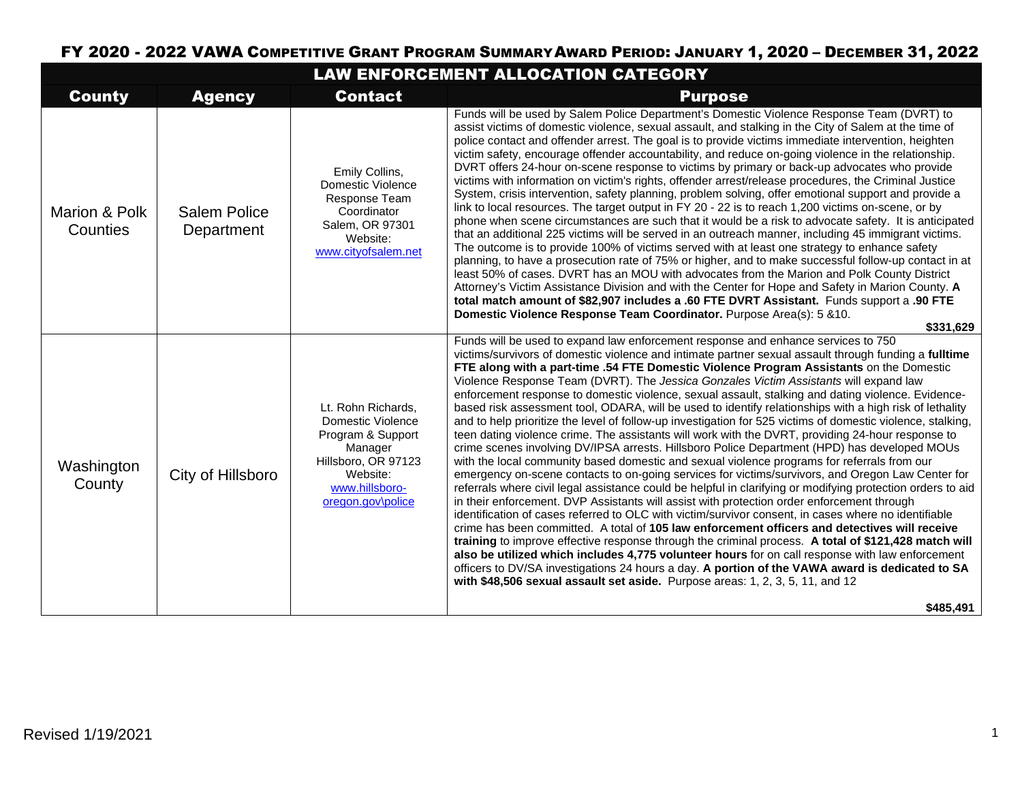## FY 2020 - 2022 VAWA COMPETITIVE GRANT PROGRAM SUMMARYAWARD PERIOD: JANUARY 1, 2020 – DECEMBER 31, 2022

| LAW ENFORCEMENT ALLOCATION CATEGORY |                                   |                                                                                                                                                   |                                                                                                                                                                                                                                                                                                                                                                                                                                                                                                                                                                                                                                                                                                                                                                                                                                                                                                                                                                                                                                                                                                                                                                                                                                                                                                                                                                                                                                                                                                                                                                                                                                                                                                                                                                                                                                                                                                                                                           |
|-------------------------------------|-----------------------------------|---------------------------------------------------------------------------------------------------------------------------------------------------|-----------------------------------------------------------------------------------------------------------------------------------------------------------------------------------------------------------------------------------------------------------------------------------------------------------------------------------------------------------------------------------------------------------------------------------------------------------------------------------------------------------------------------------------------------------------------------------------------------------------------------------------------------------------------------------------------------------------------------------------------------------------------------------------------------------------------------------------------------------------------------------------------------------------------------------------------------------------------------------------------------------------------------------------------------------------------------------------------------------------------------------------------------------------------------------------------------------------------------------------------------------------------------------------------------------------------------------------------------------------------------------------------------------------------------------------------------------------------------------------------------------------------------------------------------------------------------------------------------------------------------------------------------------------------------------------------------------------------------------------------------------------------------------------------------------------------------------------------------------------------------------------------------------------------------------------------------------|
| <b>County</b>                       | <b>Agency</b>                     | <b>Contact</b>                                                                                                                                    | <b>Purpose</b>                                                                                                                                                                                                                                                                                                                                                                                                                                                                                                                                                                                                                                                                                                                                                                                                                                                                                                                                                                                                                                                                                                                                                                                                                                                                                                                                                                                                                                                                                                                                                                                                                                                                                                                                                                                                                                                                                                                                            |
| Marion & Polk<br>Counties           | <b>Salem Police</b><br>Department | Emily Collins,<br><b>Domestic Violence</b><br><b>Response Team</b><br>Coordinator<br>Salem, OR 97301<br>Website:<br>www.cityofsalem.net           | Funds will be used by Salem Police Department's Domestic Violence Response Team (DVRT) to<br>assist victims of domestic violence, sexual assault, and stalking in the City of Salem at the time of<br>police contact and offender arrest. The goal is to provide victims immediate intervention, heighten<br>victim safety, encourage offender accountability, and reduce on-going violence in the relationship.<br>DVRT offers 24-hour on-scene response to victims by primary or back-up advocates who provide<br>victims with information on victim's rights, offender arrest/release procedures, the Criminal Justice<br>System, crisis intervention, safety planning, problem solving, offer emotional support and provide a<br>link to local resources. The target output in FY 20 - 22 is to reach 1,200 victims on-scene, or by<br>phone when scene circumstances are such that it would be a risk to advocate safety. It is anticipated<br>that an additional 225 victims will be served in an outreach manner, including 45 immigrant victims.<br>The outcome is to provide 100% of victims served with at least one strategy to enhance safety<br>planning, to have a prosecution rate of 75% or higher, and to make successful follow-up contact in at<br>least 50% of cases. DVRT has an MOU with advocates from the Marion and Polk County District<br>Attorney's Victim Assistance Division and with the Center for Hope and Safety in Marion County. A<br>total match amount of \$82,907 includes a .60 FTE DVRT Assistant. Funds support a .90 FTE<br>Domestic Violence Response Team Coordinator. Purpose Area(s): 5 & 10.<br>\$331,629                                                                                                                                                                                                                                                                                                 |
| Washington<br>County                | City of Hillsboro                 | Lt. Rohn Richards,<br>Domestic Violence<br>Program & Support<br>Manager<br>Hillsboro, OR 97123<br>Website:<br>www.hillsboro-<br>oregon.gov\police | Funds will be used to expand law enforcement response and enhance services to 750<br>victims/survivors of domestic violence and intimate partner sexual assault through funding a fulltime<br>FTE along with a part-time .54 FTE Domestic Violence Program Assistants on the Domestic<br>Violence Response Team (DVRT). The Jessica Gonzales Victim Assistants will expand law<br>enforcement response to domestic violence, sexual assault, stalking and dating violence. Evidence-<br>based risk assessment tool, ODARA, will be used to identify relationships with a high risk of lethality<br>and to help prioritize the level of follow-up investigation for 525 victims of domestic violence, stalking,<br>teen dating violence crime. The assistants will work with the DVRT, providing 24-hour response to<br>crime scenes involving DV/IPSA arrests. Hillsboro Police Department (HPD) has developed MOUs<br>with the local community based domestic and sexual violence programs for referrals from our<br>emergency on-scene contacts to on-going services for victims/survivors, and Oregon Law Center for<br>referrals where civil legal assistance could be helpful in clarifying or modifying protection orders to aid<br>in their enforcement. DVP Assistants will assist with protection order enforcement through<br>identification of cases referred to OLC with victim/survivor consent, in cases where no identifiable<br>crime has been committed. A total of 105 law enforcement officers and detectives will receive<br>training to improve effective response through the criminal process. A total of \$121,428 match will<br>also be utilized which includes 4,775 volunteer hours for on call response with law enforcement<br>officers to DV/SA investigations 24 hours a day. A portion of the VAWA award is dedicated to SA<br>with \$48,506 sexual assault set aside. Purpose areas: 1, 2, 3, 5, 11, and 12<br>\$485,491 |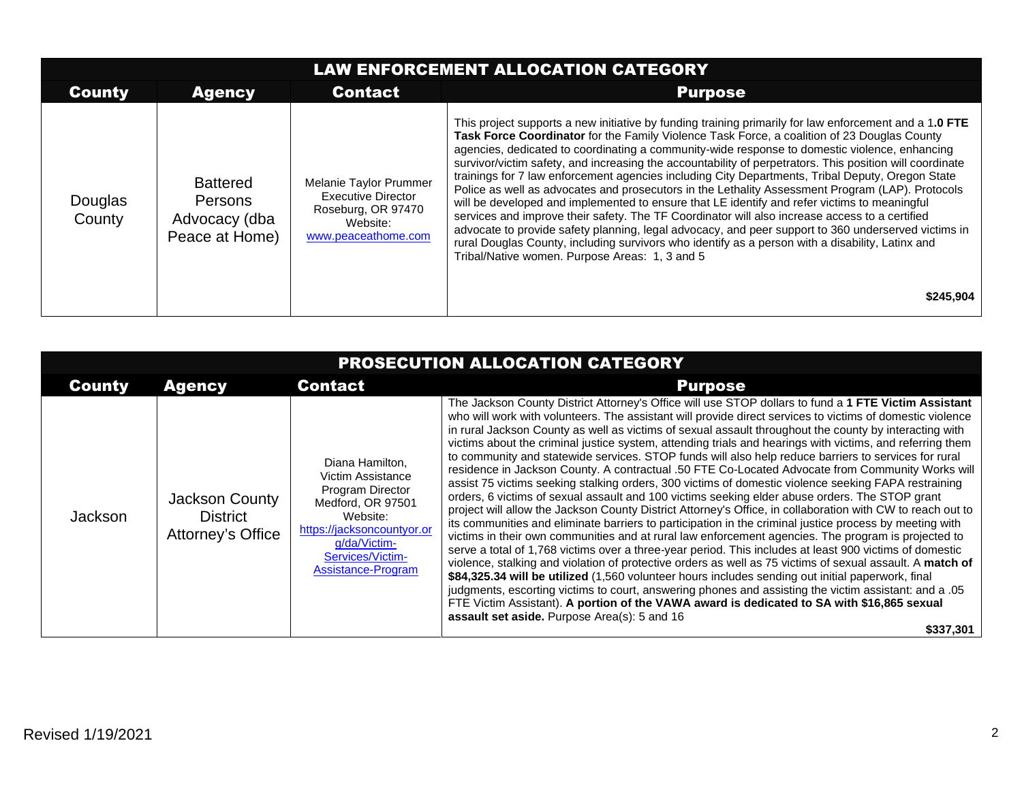| <b>LAW ENFORCEMENT ALLOCATION CATEGORY</b> |                                                                      |                                                                                                              |                                                                                                                                                                                                                                                                                                                                                                                                                                                                                                                                                                                                                                                                                                                                                                                                                                                                                                                                                                                                                                                                                                        |
|--------------------------------------------|----------------------------------------------------------------------|--------------------------------------------------------------------------------------------------------------|--------------------------------------------------------------------------------------------------------------------------------------------------------------------------------------------------------------------------------------------------------------------------------------------------------------------------------------------------------------------------------------------------------------------------------------------------------------------------------------------------------------------------------------------------------------------------------------------------------------------------------------------------------------------------------------------------------------------------------------------------------------------------------------------------------------------------------------------------------------------------------------------------------------------------------------------------------------------------------------------------------------------------------------------------------------------------------------------------------|
| <b>County</b>                              | <b>Agency</b>                                                        | <b>Contact</b>                                                                                               | <b>Purpose</b>                                                                                                                                                                                                                                                                                                                                                                                                                                                                                                                                                                                                                                                                                                                                                                                                                                                                                                                                                                                                                                                                                         |
| Douglas<br>County                          | <b>Battered</b><br><b>Persons</b><br>Advocacy (dba<br>Peace at Home) | Melanie Taylor Prummer<br><b>Executive Director</b><br>Roseburg, OR 97470<br>Website:<br>www.peaceathome.com | This project supports a new initiative by funding training primarily for law enforcement and a 1.0 FTE<br>Task Force Coordinator for the Family Violence Task Force, a coalition of 23 Douglas County<br>agencies, dedicated to coordinating a community-wide response to domestic violence, enhancing<br>survivor/victim safety, and increasing the accountability of perpetrators. This position will coordinate<br>trainings for 7 law enforcement agencies including City Departments, Tribal Deputy, Oregon State<br>Police as well as advocates and prosecutors in the Lethality Assessment Program (LAP). Protocols<br>will be developed and implemented to ensure that LE identify and refer victims to meaningful<br>services and improve their safety. The TF Coordinator will also increase access to a certified<br>advocate to provide safety planning, legal advocacy, and peer support to 360 underserved victims in<br>rural Douglas County, including survivors who identify as a person with a disability, Latinx and<br>Tribal/Native women. Purpose Areas: 1, 3 and 5<br>\$245,904 |

| PROSECUTION ALLOCATION CATEGORY |                                                               |                                                                                                                                                                                   |                                                                                                                                                                                                                                                                                                                                                                                                                                                                                                                                                                                                                                                                                                                                                                                                                                                                                                                                                                                                                                                                                                                                                                                                                                                                                                                                                                                                                                                                                                                                                                                                                                                                                                                                                                                                 |
|---------------------------------|---------------------------------------------------------------|-----------------------------------------------------------------------------------------------------------------------------------------------------------------------------------|-------------------------------------------------------------------------------------------------------------------------------------------------------------------------------------------------------------------------------------------------------------------------------------------------------------------------------------------------------------------------------------------------------------------------------------------------------------------------------------------------------------------------------------------------------------------------------------------------------------------------------------------------------------------------------------------------------------------------------------------------------------------------------------------------------------------------------------------------------------------------------------------------------------------------------------------------------------------------------------------------------------------------------------------------------------------------------------------------------------------------------------------------------------------------------------------------------------------------------------------------------------------------------------------------------------------------------------------------------------------------------------------------------------------------------------------------------------------------------------------------------------------------------------------------------------------------------------------------------------------------------------------------------------------------------------------------------------------------------------------------------------------------------------------------|
| <b>County</b>                   | <b>Agency</b>                                                 | <b>Contact</b>                                                                                                                                                                    | <b>Purpose</b>                                                                                                                                                                                                                                                                                                                                                                                                                                                                                                                                                                                                                                                                                                                                                                                                                                                                                                                                                                                                                                                                                                                                                                                                                                                                                                                                                                                                                                                                                                                                                                                                                                                                                                                                                                                  |
| Jackson                         | <b>Jackson County</b><br><b>District</b><br>Attorney's Office | Diana Hamilton.<br>Victim Assistance<br>Program Director<br>Medford, OR 97501<br>Website:<br>https://jacksoncountyor.or<br>g/da/Victim-<br>Services/Victim-<br>Assistance-Program | The Jackson County District Attorney's Office will use STOP dollars to fund a 1 FTE Victim Assistant<br>who will work with volunteers. The assistant will provide direct services to victims of domestic violence<br>in rural Jackson County as well as victims of sexual assault throughout the county by interacting with<br>victims about the criminal justice system, attending trials and hearings with victims, and referring them<br>to community and statewide services. STOP funds will also help reduce barriers to services for rural<br>residence in Jackson County. A contractual .50 FTE Co-Located Advocate from Community Works will<br>assist 75 victims seeking stalking orders, 300 victims of domestic violence seeking FAPA restraining<br>orders, 6 victims of sexual assault and 100 victims seeking elder abuse orders. The STOP grant<br>project will allow the Jackson County District Attorney's Office, in collaboration with CW to reach out to<br>its communities and eliminate barriers to participation in the criminal justice process by meeting with<br>victims in their own communities and at rural law enforcement agencies. The program is projected to<br>serve a total of 1,768 victims over a three-year period. This includes at least 900 victims of domestic<br>violence, stalking and violation of protective orders as well as 75 victims of sexual assault. A match of<br>\$84,325.34 will be utilized (1,560 volunteer hours includes sending out initial paperwork, final<br>judgments, escorting victims to court, answering phones and assisting the victim assistant: and a .05<br>FTE Victim Assistant). A portion of the VAWA award is dedicated to SA with \$16,865 sexual<br>assault set aside. Purpose Area(s): 5 and 16<br>\$337,301 |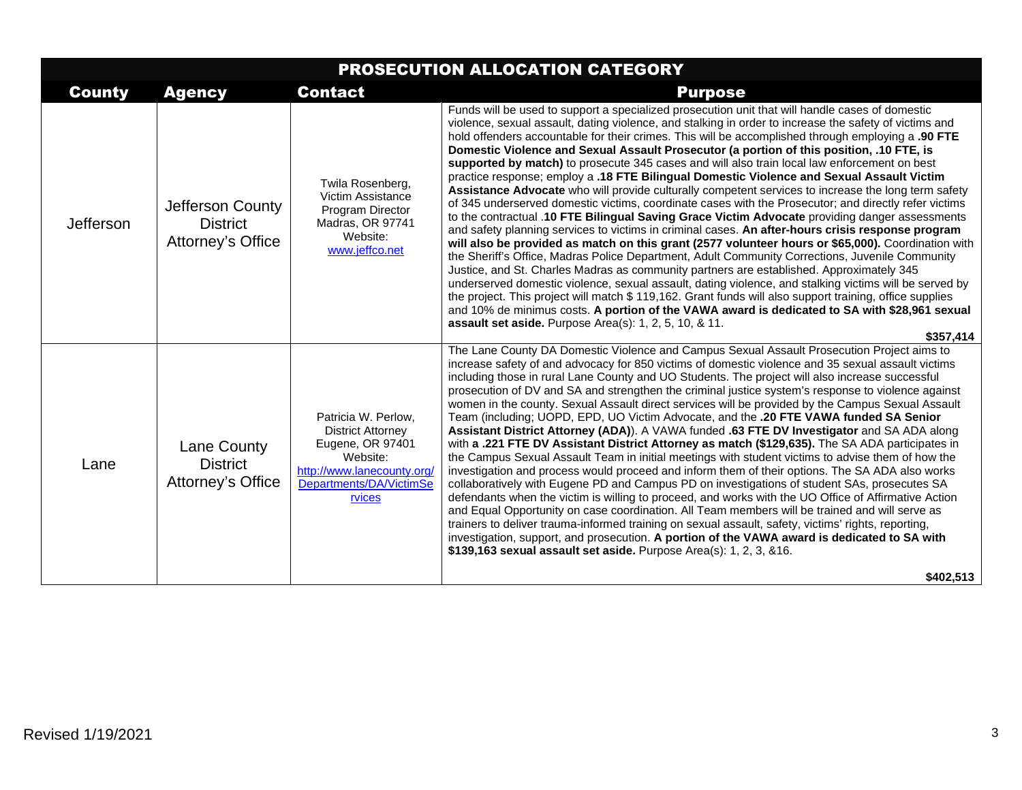| PROSECUTION ALLOCATION CATEGORY |                                                            |                                                                                                                                                    |                                                                                                                                                                                                                                                                                                                                                                                                                                                                                                                                                                                                                                                                                                                                                                                                                                                                                                                                                                                                                                                                                                                                                                                                                                                                                                                                                                                                                                                                                                                                                                                                                                                                                                                                   |
|---------------------------------|------------------------------------------------------------|----------------------------------------------------------------------------------------------------------------------------------------------------|-----------------------------------------------------------------------------------------------------------------------------------------------------------------------------------------------------------------------------------------------------------------------------------------------------------------------------------------------------------------------------------------------------------------------------------------------------------------------------------------------------------------------------------------------------------------------------------------------------------------------------------------------------------------------------------------------------------------------------------------------------------------------------------------------------------------------------------------------------------------------------------------------------------------------------------------------------------------------------------------------------------------------------------------------------------------------------------------------------------------------------------------------------------------------------------------------------------------------------------------------------------------------------------------------------------------------------------------------------------------------------------------------------------------------------------------------------------------------------------------------------------------------------------------------------------------------------------------------------------------------------------------------------------------------------------------------------------------------------------|
| <b>County</b>                   | <b>Agency</b>                                              | <b>Contact</b>                                                                                                                                     | <b>Purpose</b>                                                                                                                                                                                                                                                                                                                                                                                                                                                                                                                                                                                                                                                                                                                                                                                                                                                                                                                                                                                                                                                                                                                                                                                                                                                                                                                                                                                                                                                                                                                                                                                                                                                                                                                    |
| Jefferson                       | Jefferson County<br><b>District</b><br>Attorney's Office   | Twila Rosenberg,<br>Victim Assistance<br>Program Director<br>Madras, OR 97741<br>Website:<br>www.jeffco.net                                        | Funds will be used to support a specialized prosecution unit that will handle cases of domestic<br>violence, sexual assault, dating violence, and stalking in order to increase the safety of victims and<br>hold offenders accountable for their crimes. This will be accomplished through employing a .90 FTE<br>Domestic Violence and Sexual Assault Prosecutor (a portion of this position, .10 FTE, is<br>supported by match) to prosecute 345 cases and will also train local law enforcement on best<br>practice response; employ a .18 FTE Bilingual Domestic Violence and Sexual Assault Victim<br>Assistance Advocate who will provide culturally competent services to increase the long term safety<br>of 345 underserved domestic victims, coordinate cases with the Prosecutor; and directly refer victims<br>to the contractual .10 FTE Bilingual Saving Grace Victim Advocate providing danger assessments<br>and safety planning services to victims in criminal cases. An after-hours crisis response program<br>will also be provided as match on this grant (2577 volunteer hours or \$65,000). Coordination with<br>the Sheriff's Office, Madras Police Department, Adult Community Corrections, Juvenile Community<br>Justice, and St. Charles Madras as community partners are established. Approximately 345<br>underserved domestic violence, sexual assault, dating violence, and stalking victims will be served by<br>the project. This project will match \$119,162. Grant funds will also support training, office supplies<br>and 10% de minimus costs. A portion of the VAWA award is dedicated to SA with \$28,961 sexual<br>assault set aside. Purpose Area(s): 1, 2, 5, 10, & 11.<br>\$357,414 |
| Lane                            | <b>Lane County</b><br><b>District</b><br>Attorney's Office | Patricia W. Perlow,<br><b>District Attorney</b><br>Eugene, OR 97401<br>Website:<br>http://www.lanecounty.org/<br>Departments/DA/VictimSe<br>rvices | The Lane County DA Domestic Violence and Campus Sexual Assault Prosecution Project aims to<br>increase safety of and advocacy for 850 victims of domestic violence and 35 sexual assault victims<br>including those in rural Lane County and UO Students. The project will also increase successful<br>prosecution of DV and SA and strengthen the criminal justice system's response to violence against<br>women in the county. Sexual Assault direct services will be provided by the Campus Sexual Assault<br>Team (including; UOPD, EPD, UO Victim Advocate, and the .20 FTE VAWA funded SA Senior<br>Assistant District Attorney (ADA)). A VAWA funded .63 FTE DV Investigator and SA ADA along<br>with a .221 FTE DV Assistant District Attorney as match (\$129,635). The SA ADA participates in<br>the Campus Sexual Assault Team in initial meetings with student victims to advise them of how the<br>investigation and process would proceed and inform them of their options. The SA ADA also works<br>collaboratively with Eugene PD and Campus PD on investigations of student SAs, prosecutes SA<br>defendants when the victim is willing to proceed, and works with the UO Office of Affirmative Action<br>and Equal Opportunity on case coordination. All Team members will be trained and will serve as<br>trainers to deliver trauma-informed training on sexual assault, safety, victims' rights, reporting,<br>investigation, support, and prosecution. A portion of the VAWA award is dedicated to SA with<br>\$139,163 sexual assault set aside. Purpose Area(s): 1, 2, 3, &16.                                                                                                                           |
|                                 |                                                            |                                                                                                                                                    | \$402,513                                                                                                                                                                                                                                                                                                                                                                                                                                                                                                                                                                                                                                                                                                                                                                                                                                                                                                                                                                                                                                                                                                                                                                                                                                                                                                                                                                                                                                                                                                                                                                                                                                                                                                                         |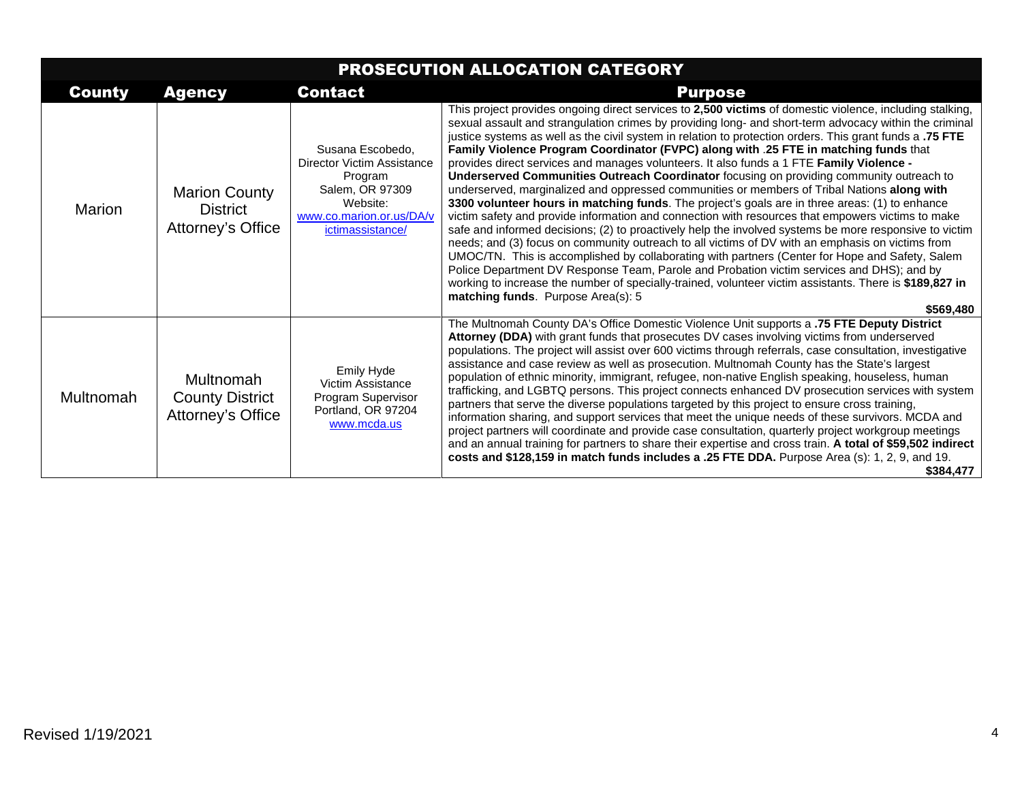| PROSECUTION ALLOCATION CATEGORY |                                                              |                                                                                                                                          |                                                                                                                                                                                                                                                                                                                                                                                                                                                                                                                                                                                                                                                                                                                                                                                                                                                                                                                                                                                                                                                                                                                                                                                                                                                                                                                                                                                                                                                                                                  |
|---------------------------------|--------------------------------------------------------------|------------------------------------------------------------------------------------------------------------------------------------------|--------------------------------------------------------------------------------------------------------------------------------------------------------------------------------------------------------------------------------------------------------------------------------------------------------------------------------------------------------------------------------------------------------------------------------------------------------------------------------------------------------------------------------------------------------------------------------------------------------------------------------------------------------------------------------------------------------------------------------------------------------------------------------------------------------------------------------------------------------------------------------------------------------------------------------------------------------------------------------------------------------------------------------------------------------------------------------------------------------------------------------------------------------------------------------------------------------------------------------------------------------------------------------------------------------------------------------------------------------------------------------------------------------------------------------------------------------------------------------------------------|
| <b>County</b>                   | <b>Agency</b>                                                | <b>Contact</b>                                                                                                                           | <b>Purpose</b>                                                                                                                                                                                                                                                                                                                                                                                                                                                                                                                                                                                                                                                                                                                                                                                                                                                                                                                                                                                                                                                                                                                                                                                                                                                                                                                                                                                                                                                                                   |
| <b>Marion</b>                   | <b>Marion County</b><br><b>District</b><br>Attorney's Office | Susana Escobedo.<br>Director Victim Assistance<br>Program<br>Salem, OR 97309<br>Website:<br>www.co.marion.or.us/DA/v<br>ictimassistance/ | This project provides ongoing direct services to 2,500 victims of domestic violence, including stalking,<br>sexual assault and strangulation crimes by providing long- and short-term advocacy within the criminal<br>justice systems as well as the civil system in relation to protection orders. This grant funds a .75 FTE<br>Family Violence Program Coordinator (FVPC) along with .25 FTE in matching funds that<br>provides direct services and manages volunteers. It also funds a 1 FTE Family Violence -<br>Underserved Communities Outreach Coordinator focusing on providing community outreach to<br>underserved, marginalized and oppressed communities or members of Tribal Nations along with<br>3300 volunteer hours in matching funds. The project's goals are in three areas: (1) to enhance<br>victim safety and provide information and connection with resources that empowers victims to make<br>safe and informed decisions; (2) to proactively help the involved systems be more responsive to victim<br>needs; and (3) focus on community outreach to all victims of DV with an emphasis on victims from<br>UMOC/TN. This is accomplished by collaborating with partners (Center for Hope and Safety, Salem<br>Police Department DV Response Team, Parole and Probation victim services and DHS); and by<br>working to increase the number of specially-trained, volunteer victim assistants. There is \$189,827 in<br>matching funds. Purpose Area(s): 5<br>\$569.480 |
| Multnomah                       | Multnomah<br><b>County District</b><br>Attorney's Office     | Emily Hyde<br>Victim Assistance<br>Program Supervisor<br>Portland, OR 97204<br>www.mcda.us                                               | The Multnomah County DA's Office Domestic Violence Unit supports a .75 FTE Deputy District<br>Attorney (DDA) with grant funds that prosecutes DV cases involving victims from underserved<br>populations. The project will assist over 600 victims through referrals, case consultation, investigative<br>assistance and case review as well as prosecution. Multnomah County has the State's largest<br>population of ethnic minority, immigrant, refugee, non-native English speaking, houseless, human<br>trafficking, and LGBTQ persons. This project connects enhanced DV prosecution services with system<br>partners that serve the diverse populations targeted by this project to ensure cross training,<br>information sharing, and support services that meet the unique needs of these survivors. MCDA and<br>project partners will coordinate and provide case consultation, quarterly project workgroup meetings<br>and an annual training for partners to share their expertise and cross train. A total of \$59,502 indirect<br>costs and \$128,159 in match funds includes a .25 FTE DDA. Purpose Area (s): 1, 2, 9, and 19.<br>\$384,477                                                                                                                                                                                                                                                                                                                                       |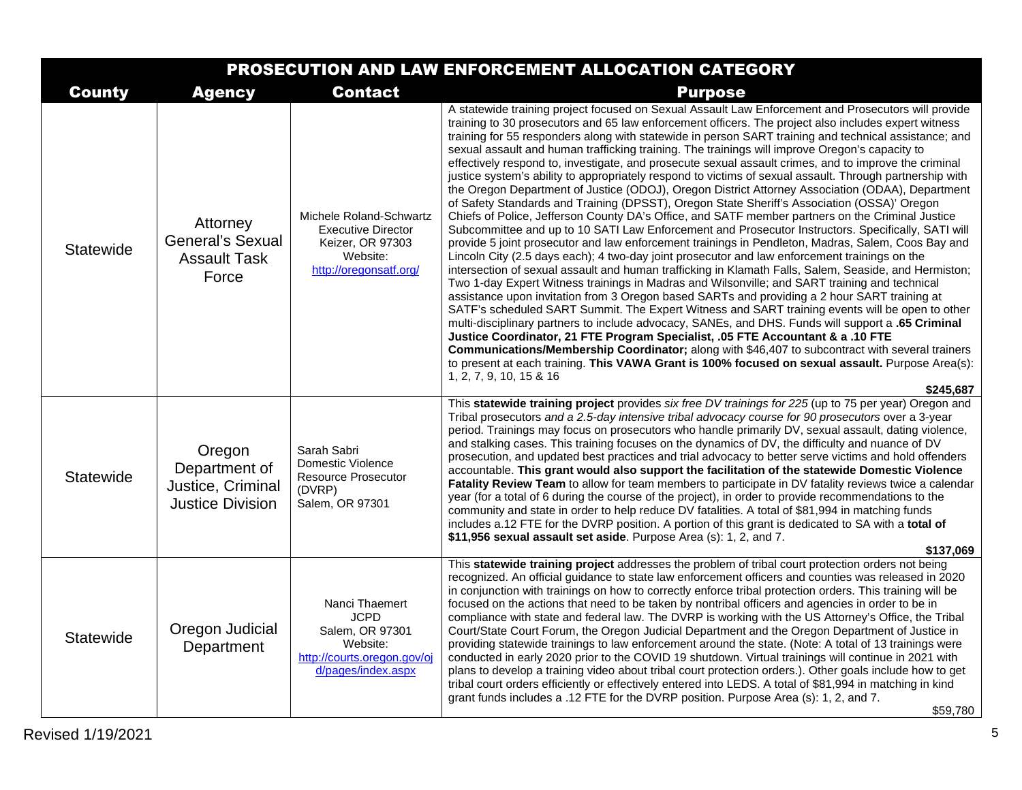| PROSECUTION AND LAW ENFORCEMENT ALLOCATION CATEGORY |                                                                         |                                                                                                                   |                                                                                                                                                                                                                                                                                                                                                                                                                                                                                                                                                                                                                                                                                                                                                                                                                                                                                                                                                                                                                                                                                                                                                                                                                                                                                                                                                                                                                                                                                                                                                                                                                                                                                                                                                                                                                                                                                                                                                                                                                                                                                                                     |
|-----------------------------------------------------|-------------------------------------------------------------------------|-------------------------------------------------------------------------------------------------------------------|---------------------------------------------------------------------------------------------------------------------------------------------------------------------------------------------------------------------------------------------------------------------------------------------------------------------------------------------------------------------------------------------------------------------------------------------------------------------------------------------------------------------------------------------------------------------------------------------------------------------------------------------------------------------------------------------------------------------------------------------------------------------------------------------------------------------------------------------------------------------------------------------------------------------------------------------------------------------------------------------------------------------------------------------------------------------------------------------------------------------------------------------------------------------------------------------------------------------------------------------------------------------------------------------------------------------------------------------------------------------------------------------------------------------------------------------------------------------------------------------------------------------------------------------------------------------------------------------------------------------------------------------------------------------------------------------------------------------------------------------------------------------------------------------------------------------------------------------------------------------------------------------------------------------------------------------------------------------------------------------------------------------------------------------------------------------------------------------------------------------|
| <b>County</b>                                       | <b>Agency</b>                                                           | <b>Contact</b>                                                                                                    | <b>Purpose</b>                                                                                                                                                                                                                                                                                                                                                                                                                                                                                                                                                                                                                                                                                                                                                                                                                                                                                                                                                                                                                                                                                                                                                                                                                                                                                                                                                                                                                                                                                                                                                                                                                                                                                                                                                                                                                                                                                                                                                                                                                                                                                                      |
| Statewide                                           | Attorney<br><b>General's Sexual</b><br><b>Assault Task</b><br>Force     | Michele Roland-Schwartz<br><b>Executive Director</b><br>Keizer, OR 97303<br>Website:<br>http://oregonsatf.org/    | A statewide training project focused on Sexual Assault Law Enforcement and Prosecutors will provide<br>training to 30 prosecutors and 65 law enforcement officers. The project also includes expert witness<br>training for 55 responders along with statewide in person SART training and technical assistance; and<br>sexual assault and human trafficking training. The trainings will improve Oregon's capacity to<br>effectively respond to, investigate, and prosecute sexual assault crimes, and to improve the criminal<br>justice system's ability to appropriately respond to victims of sexual assault. Through partnership with<br>the Oregon Department of Justice (ODOJ), Oregon District Attorney Association (ODAA), Department<br>of Safety Standards and Training (DPSST), Oregon State Sheriff's Association (OSSA)' Oregon<br>Chiefs of Police, Jefferson County DA's Office, and SATF member partners on the Criminal Justice<br>Subcommittee and up to 10 SATI Law Enforcement and Prosecutor Instructors. Specifically, SATI will<br>provide 5 joint prosecutor and law enforcement trainings in Pendleton, Madras, Salem, Coos Bay and<br>Lincoln City (2.5 days each); 4 two-day joint prosecutor and law enforcement trainings on the<br>intersection of sexual assault and human trafficking in Klamath Falls, Salem, Seaside, and Hermiston;<br>Two 1-day Expert Witness trainings in Madras and Wilsonville; and SART training and technical<br>assistance upon invitation from 3 Oregon based SARTs and providing a 2 hour SART training at<br>SATF's scheduled SART Summit. The Expert Witness and SART training events will be open to other<br>multi-disciplinary partners to include advocacy, SANEs, and DHS. Funds will support a .65 Criminal<br>Justice Coordinator, 21 FTE Program Specialist, .05 FTE Accountant & a .10 FTE<br>Communications/Membership Coordinator; along with \$46,407 to subcontract with several trainers<br>to present at each training. This VAWA Grant is 100% focused on sexual assault. Purpose Area(s):<br>1, 2, 7, 9, 10, 15 & 16<br>\$245.687 |
| Statewide                                           | Oregon<br>Department of<br>Justice, Criminal<br><b>Justice Division</b> | Sarah Sabri<br>Domestic Violence<br><b>Resource Prosecutor</b><br>(DVRP)<br>Salem, OR 97301                       | This statewide training project provides six free DV trainings for 225 (up to 75 per year) Oregon and<br>Tribal prosecutors and a 2.5-day intensive tribal advocacy course for 90 prosecutors over a 3-year<br>period. Trainings may focus on prosecutors who handle primarily DV, sexual assault, dating violence,<br>and stalking cases. This training focuses on the dynamics of DV, the difficulty and nuance of DV<br>prosecution, and updated best practices and trial advocacy to better serve victims and hold offenders<br>accountable. This grant would also support the facilitation of the statewide Domestic Violence<br><b>Fatality Review Team</b> to allow for team members to participate in DV fatality reviews twice a calendar<br>year (for a total of 6 during the course of the project), in order to provide recommendations to the<br>community and state in order to help reduce DV fatalities. A total of \$81,994 in matching funds<br>includes a.12 FTE for the DVRP position. A portion of this grant is dedicated to SA with a total of<br>\$11,956 sexual assault set aside. Purpose Area (s): 1, 2, and 7.<br>\$137,069                                                                                                                                                                                                                                                                                                                                                                                                                                                                                                                                                                                                                                                                                                                                                                                                                                                                                                                                                             |
| Statewide                                           | Oregon Judicial<br>Department                                           | Nanci Thaemert<br><b>JCPD</b><br>Salem, OR 97301<br>Website:<br>http://courts.oregon.gov/oj<br>d/pages/index.aspx | This statewide training project addresses the problem of tribal court protection orders not being<br>recognized. An official guidance to state law enforcement officers and counties was released in 2020<br>in conjunction with trainings on how to correctly enforce tribal protection orders. This training will be<br>focused on the actions that need to be taken by nontribal officers and agencies in order to be in<br>compliance with state and federal law. The DVRP is working with the US Attorney's Office, the Tribal<br>Court/State Court Forum, the Oregon Judicial Department and the Oregon Department of Justice in<br>providing statewide trainings to law enforcement around the state. (Note: A total of 13 trainings were<br>conducted in early 2020 prior to the COVID 19 shutdown. Virtual trainings will continue in 2021 with<br>plans to develop a training video about tribal court protection orders.). Other goals include how to get<br>tribal court orders efficiently or effectively entered into LEDS. A total of \$81,994 in matching in kind<br>grant funds includes a .12 FTE for the DVRP position. Purpose Area (s): 1, 2, and 7.<br>\$59,780                                                                                                                                                                                                                                                                                                                                                                                                                                                                                                                                                                                                                                                                                                                                                                                                                                                                                                                               |